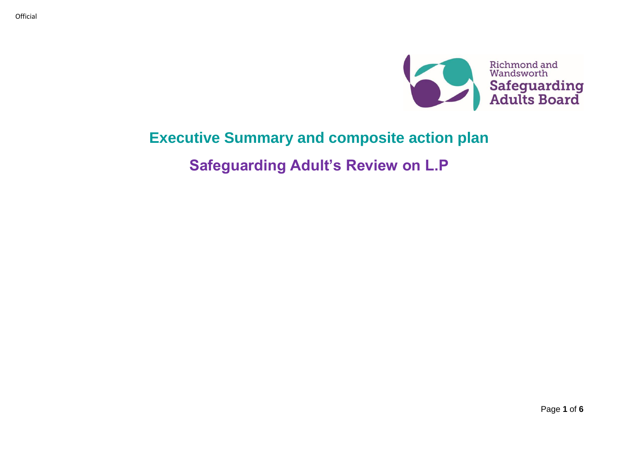

## **Executive Summary and composite action plan**

**Safeguarding Adult's Review on L.P**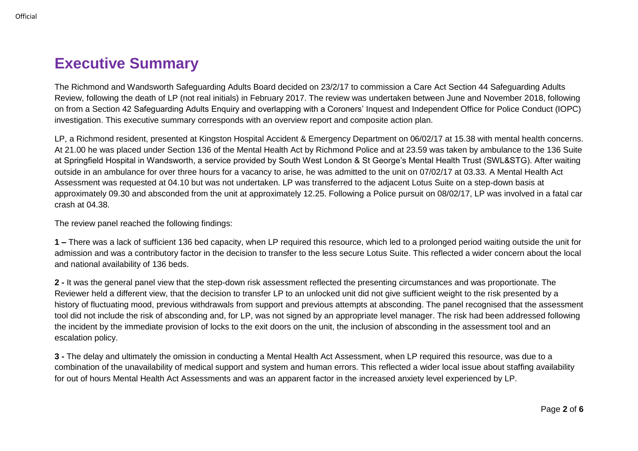The Richmond and Wandsworth Safeguarding Adults Board decided on 23/2/17 to commission a Care Act Section 44 Safeguarding Adults Review, following the death of LP (not real initials) in February 2017. The review was undertaken between June and November 2018, following on from a Section 42 Safeguarding Adults Enquiry and overlapping with a Coroners' Inquest and Independent Office for Police Conduct (IOPC) investigation. This executive summary corresponds with an overview report and composite action plan.

LP, a Richmond resident, presented at Kingston Hospital Accident & Emergency Department on 06/02/17 at 15.38 with mental health concerns. At 21.00 he was placed under Section 136 of the Mental Health Act by Richmond Police and at 23.59 was taken by ambulance to the 136 Suite at Springfield Hospital in Wandsworth, a service provided by South West London & St George's Mental Health Trust (SWL&STG). After waiting outside in an ambulance for over three hours for a vacancy to arise, he was admitted to the unit on 07/02/17 at 03.33. A Mental Health Act Assessment was requested at 04.10 but was not undertaken. LP was transferred to the adjacent Lotus Suite on a step-down basis at approximately 09.30 and absconded from the unit at approximately 12.25. Following a Police pursuit on 08/02/17, LP was involved in a fatal car crash at 04.38.

The review panel reached the following findings:

**1 –** There was a lack of sufficient 136 bed capacity, when LP required this resource, which led to a prolonged period waiting outside the unit for admission and was a contributory factor in the decision to transfer to the less secure Lotus Suite. This reflected a wider concern about the local and national availability of 136 beds.

**2 -** It was the general panel view that the step-down risk assessment reflected the presenting circumstances and was proportionate. The Reviewer held a different view, that the decision to transfer LP to an unlocked unit did not give sufficient weight to the risk presented by a history of fluctuating mood, previous withdrawals from support and previous attempts at absconding. The panel recognised that the assessment tool did not include the risk of absconding and, for LP, was not signed by an appropriate level manager. The risk had been addressed following the incident by the immediate provision of locks to the exit doors on the unit, the inclusion of absconding in the assessment tool and an escalation policy.

**3 -** The delay and ultimately the omission in conducting a Mental Health Act Assessment, when LP required this resource, was due to a combination of the unavailability of medical support and system and human errors. This reflected a wider local issue about staffing availability for out of hours Mental Health Act Assessments and was an apparent factor in the increased anxiety level experienced by LP.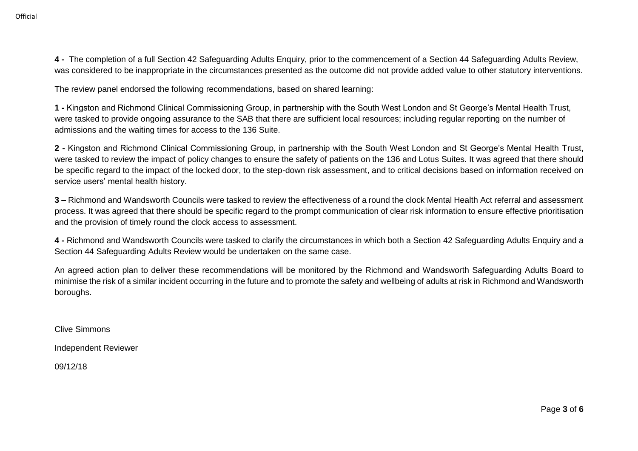**Official** 

**4 -** The completion of a full Section 42 Safeguarding Adults Enquiry, prior to the commencement of a Section 44 Safeguarding Adults Review, was considered to be inappropriate in the circumstances presented as the outcome did not provide added value to other statutory interventions.

The review panel endorsed the following recommendations, based on shared learning:

**1 -** Kingston and Richmond Clinical Commissioning Group, in partnership with the South West London and St George's Mental Health Trust, were tasked to provide ongoing assurance to the SAB that there are sufficient local resources; including regular reporting on the number of admissions and the waiting times for access to the 136 Suite.

**2 -** Kingston and Richmond Clinical Commissioning Group, in partnership with the South West London and St George's Mental Health Trust, were tasked to review the impact of policy changes to ensure the safety of patients on the 136 and Lotus Suites. It was agreed that there should be specific regard to the impact of the locked door, to the step-down risk assessment, and to critical decisions based on information received on service users' mental health history.

**3 –** Richmond and Wandsworth Councils were tasked to review the effectiveness of a round the clock Mental Health Act referral and assessment process. It was agreed that there should be specific regard to the prompt communication of clear risk information to ensure effective prioritisation and the provision of timely round the clock access to assessment.

**4 -** Richmond and Wandsworth Councils were tasked to clarify the circumstances in which both a Section 42 Safeguarding Adults Enquiry and a Section 44 Safeguarding Adults Review would be undertaken on the same case.

An agreed action plan to deliver these recommendations will be monitored by the Richmond and Wandsworth Safeguarding Adults Board to minimise the risk of a similar incident occurring in the future and to promote the safety and wellbeing of adults at risk in Richmond and Wandsworth boroughs.

Clive Simmons

Independent Reviewer

09/12/18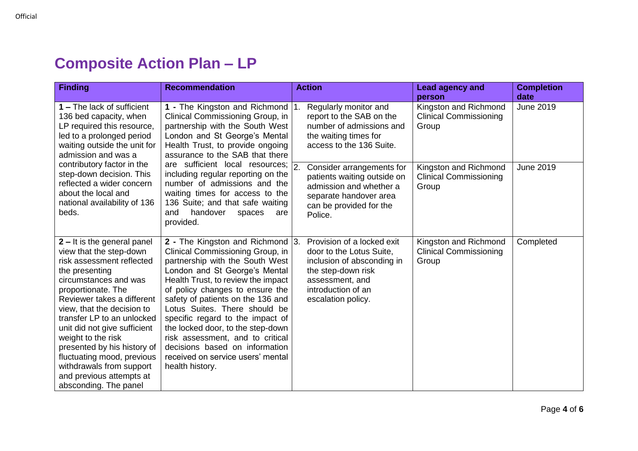## **Composite Action Plan – LP**

| <b>Finding</b>                                                                                                                                                                                                                                                                                                                                                                                                                                     | <b>Recommendation</b>                                                                                                                                                                                                                                                                                                                                                                                                                                                                          |     | <b>Action</b>                                                                                                                                                             | Lead agency and<br>person                                       | <b>Completion</b><br>date |
|----------------------------------------------------------------------------------------------------------------------------------------------------------------------------------------------------------------------------------------------------------------------------------------------------------------------------------------------------------------------------------------------------------------------------------------------------|------------------------------------------------------------------------------------------------------------------------------------------------------------------------------------------------------------------------------------------------------------------------------------------------------------------------------------------------------------------------------------------------------------------------------------------------------------------------------------------------|-----|---------------------------------------------------------------------------------------------------------------------------------------------------------------------------|-----------------------------------------------------------------|---------------------------|
| 1 – The lack of sufficient<br>136 bed capacity, when<br>LP required this resource,<br>led to a prolonged period<br>waiting outside the unit for<br>admission and was a                                                                                                                                                                                                                                                                             | 1 - The Kingston and Richmond<br>Clinical Commissioning Group, in<br>partnership with the South West<br>London and St George's Mental<br>Health Trust, to provide ongoing<br>assurance to the SAB that there<br>are sufficient local resources;<br>including regular reporting on the<br>number of admissions and the<br>waiting times for access to the<br>136 Suite; and that safe waiting<br>handover<br>and<br>spaces<br>are<br>provided.                                                  |     | Regularly monitor and<br>report to the SAB on the<br>number of admissions and<br>the waiting times for<br>access to the 136 Suite.                                        | Kingston and Richmond<br><b>Clinical Commissioning</b><br>Group | <b>June 2019</b>          |
| contributory factor in the<br>step-down decision. This<br>reflected a wider concern<br>about the local and<br>national availability of 136<br>beds.                                                                                                                                                                                                                                                                                                |                                                                                                                                                                                                                                                                                                                                                                                                                                                                                                | l2. | Consider arrangements for<br>patients waiting outside on<br>admission and whether a<br>separate handover area<br>can be provided for the<br>Police.                       | Kingston and Richmond<br><b>Clinical Commissioning</b><br>Group | <b>June 2019</b>          |
| 2 - It is the general panel<br>view that the step-down<br>risk assessment reflected<br>the presenting<br>circumstances and was<br>proportionate. The<br>Reviewer takes a different<br>view, that the decision to<br>transfer LP to an unlocked<br>unit did not give sufficient<br>weight to the risk<br>presented by his history of<br>fluctuating mood, previous<br>withdrawals from support<br>and previous attempts at<br>absconding. The panel | 2 - The Kingston and Richmond 3.<br>Clinical Commissioning Group, in<br>partnership with the South West<br>London and St George's Mental<br>Health Trust, to review the impact<br>of policy changes to ensure the<br>safety of patients on the 136 and<br>Lotus Suites. There should be<br>specific regard to the impact of<br>the locked door, to the step-down<br>risk assessment, and to critical<br>decisions based on information<br>received on service users' mental<br>health history. |     | Provision of a locked exit<br>door to the Lotus Suite,<br>inclusion of absconding in<br>the step-down risk<br>assessment, and<br>introduction of an<br>escalation policy. | Kingston and Richmond<br><b>Clinical Commissioning</b><br>Group | Completed                 |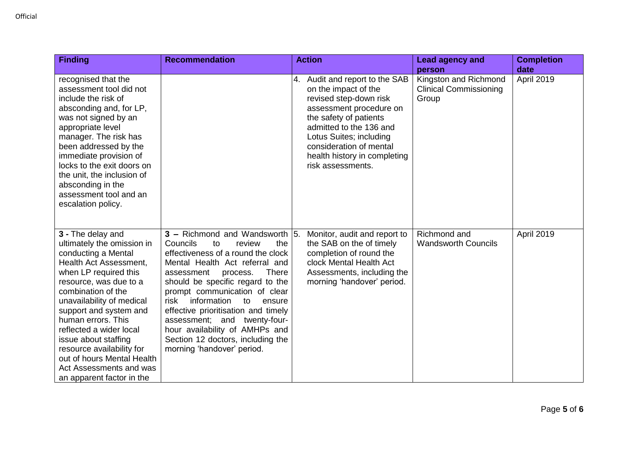| <b>Finding</b>                                                                                                                                                                                                                                                                                                                                                                                          | <b>Recommendation</b>                                                                                                                                                                                                                                                                                                                                                                                                                     | <b>Action</b>                                                                                                                                                                                                                                                               | <b>Lead agency and</b>                                                    | <b>Completion</b>  |
|---------------------------------------------------------------------------------------------------------------------------------------------------------------------------------------------------------------------------------------------------------------------------------------------------------------------------------------------------------------------------------------------------------|-------------------------------------------------------------------------------------------------------------------------------------------------------------------------------------------------------------------------------------------------------------------------------------------------------------------------------------------------------------------------------------------------------------------------------------------|-----------------------------------------------------------------------------------------------------------------------------------------------------------------------------------------------------------------------------------------------------------------------------|---------------------------------------------------------------------------|--------------------|
| recognised that the<br>assessment tool did not<br>include the risk of<br>absconding and, for LP,<br>was not signed by an<br>appropriate level<br>manager. The risk has<br>been addressed by the<br>immediate provision of<br>locks to the exit doors on<br>the unit, the inclusion of                                                                                                                   |                                                                                                                                                                                                                                                                                                                                                                                                                                           | 4. Audit and report to the SAB<br>on the impact of the<br>revised step-down risk<br>assessment procedure on<br>the safety of patients<br>admitted to the 136 and<br>Lotus Suites; including<br>consideration of mental<br>health history in completing<br>risk assessments. | person<br>Kingston and Richmond<br><b>Clinical Commissioning</b><br>Group | date<br>April 2019 |
| absconding in the<br>assessment tool and an<br>escalation policy.<br>3 - The delay and                                                                                                                                                                                                                                                                                                                  | $3$ – Richmond and Wandsworth 5.                                                                                                                                                                                                                                                                                                                                                                                                          | Monitor, audit and report to                                                                                                                                                                                                                                                | Richmond and                                                              | April 2019         |
| ultimately the omission in<br>conducting a Mental<br>Health Act Assessment,<br>when LP required this<br>resource, was due to a<br>combination of the<br>unavailability of medical<br>support and system and<br>human errors. This<br>reflected a wider local<br>issue about staffing<br>resource availability for<br>out of hours Mental Health<br>Act Assessments and was<br>an apparent factor in the | Councils<br>the<br>to<br>review<br>effectiveness of a round the clock<br>Mental Health Act referral and<br><b>There</b><br>assessment<br>process.<br>should be specific regard to the<br>prompt communication of clear<br>information<br>risk<br>ensure<br>to<br>effective prioritisation and timely<br>assessment; and twenty-four-<br>hour availability of AMHPs and<br>Section 12 doctors, including the<br>morning 'handover' period. | the SAB on the of timely<br>completion of round the<br>clock Mental Health Act<br>Assessments, including the<br>morning 'handover' period.                                                                                                                                  | <b>Wandsworth Councils</b>                                                |                    |